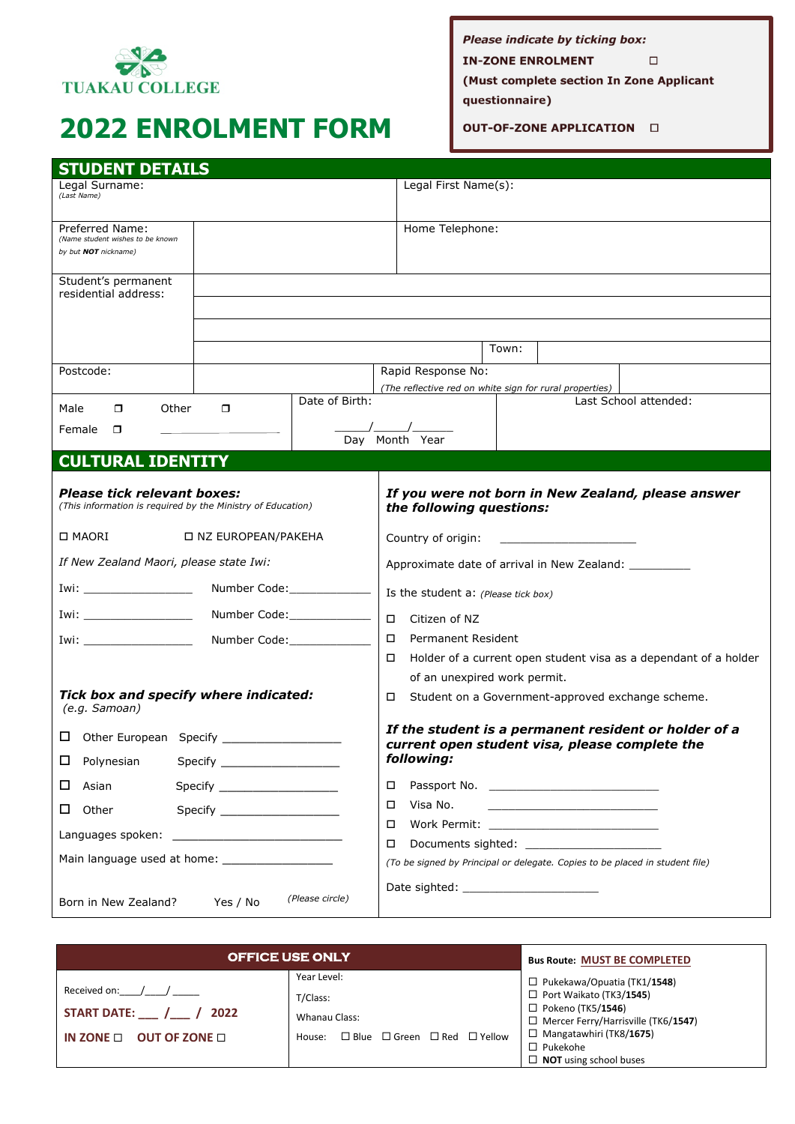

# **2022 ENROLMENT FORM**

Please indicate by ticking box: **IN-ZONE ENROLMENT**  $\Box$ 

(Must complete section In Zone Applicant

questionnaire)

OUT-OF-ZONE APPLICATION  $\Box$ 

| <b>STUDENT DETAILS</b>                                                                            |                            |                                                                                                         |
|---------------------------------------------------------------------------------------------------|----------------------------|---------------------------------------------------------------------------------------------------------|
| Legal Surname:<br>(Last Name)                                                                     |                            | Legal First Name(s):                                                                                    |
| Preferred Name:<br>(Name student wishes to be known<br>by but <b>NOT</b> nickname)                |                            | Home Telephone:                                                                                         |
| Student's permanent<br>residential address:                                                       |                            |                                                                                                         |
|                                                                                                   |                            |                                                                                                         |
|                                                                                                   |                            |                                                                                                         |
|                                                                                                   |                            | Town:                                                                                                   |
| Postcode:                                                                                         |                            | Rapid Response No:<br>(The reflective red on white sign for rural properties)                           |
| Other<br>Male<br>$\Box$<br>0                                                                      | Date of Birth:             | Last School attended:                                                                                   |
| Female<br>$\Box$                                                                                  |                            | Day Month Year                                                                                          |
| <b>CULTURAL IDENTITY</b>                                                                          |                            |                                                                                                         |
| <b>Please tick relevant boxes:</b><br>(This information is required by the Ministry of Education) |                            | If you were not born in New Zealand, please answer<br>the following questions:                          |
| □ MAORI<br>□ NZ EUROPEAN/PAKEHA                                                                   |                            | Country of origin:                                                                                      |
| If New Zealand Maori, please state Iwi:                                                           |                            | Approximate date of arrival in New Zealand: ___________                                                 |
| Iwi: ________________________                                                                     | Number Code:______________ | Is the student a: (Please tick box)                                                                     |
| Iwi:<br>Number Code:______________                                                                |                            | $\Box$<br>Citizen of NZ                                                                                 |
| Number Code:_____________<br>Iwi:                                                                 |                            | <b>Permanent Resident</b><br>$\Box$                                                                     |
|                                                                                                   |                            | Holder of a current open student visa as a dependant of a holder<br>□                                   |
|                                                                                                   |                            | of an unexpired work permit.                                                                            |
| Tick box and specify where indicated:<br>(e.g. Samoan)                                            |                            | Student on a Government-approved exchange scheme.<br>□                                                  |
| □ Other European Specify __________                                                               |                            | If the student is a permanent resident or holder of a<br>current open student visa, please complete the |
| Polynesian<br>ப                                                                                   |                            | following:                                                                                              |
| Asian<br>$\Box$<br>Specify _______________________                                                |                            | □                                                                                                       |
| Other                                                                                             |                            | Visa No.<br>□                                                                                           |
|                                                                                                   |                            | □                                                                                                       |
|                                                                                                   |                            | □<br>(To be signed by Principal or delegate. Copies to be placed in student file)                       |
|                                                                                                   |                            |                                                                                                         |
| Born in New Zealand?<br>Yes / No                                                                  | (Please circle)            |                                                                                                         |

| <b>OFFICE USE ONLY</b>            |                                                             | <b>Bus Route: MUST BE COMPLETED</b>                                                                 |
|-----------------------------------|-------------------------------------------------------------|-----------------------------------------------------------------------------------------------------|
| Received on:                      | Year Level:<br>T/Class:                                     | $\Box$ Pukekawa/Opuatia (TK1/1548)<br>$\Box$ Port Waikato (TK3/1545)                                |
| START DATE: / / 2022              | Whanau Class:                                               | $\Box$ Pokeno (TK5/1546)<br>□ Mercer Ferry/Harrisville (TK6/1547)<br>$\Box$ Mangatawhiri (TK8/1675) |
| IN ZONE $\Box$ OUT OF ZONE $\Box$ | $\Box$ Blue $\Box$ Green $\Box$ Red $\Box$ Yellow<br>House: | $\Box$ Pukekohe<br>$\Box$ <b>NOT</b> using school buses                                             |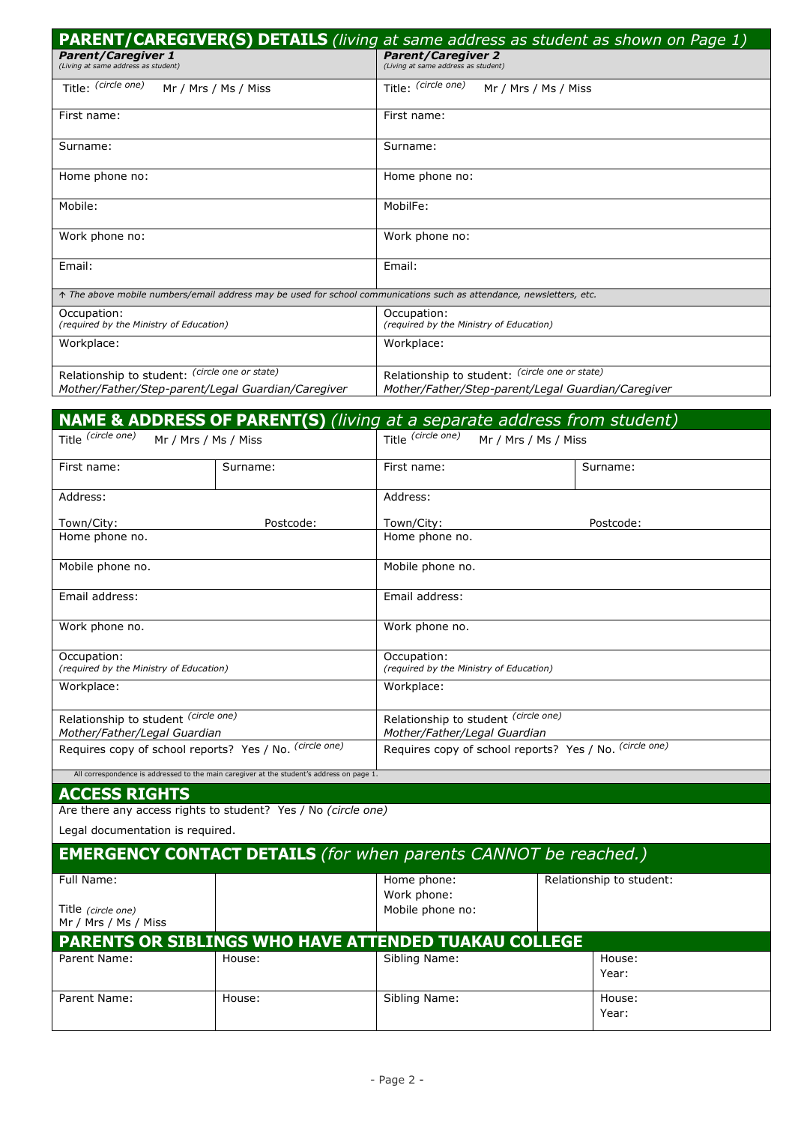|                                                                                                                    | <b>PARENT/CAREGIVER(S) DETAILS</b> (living at same address as student as shown on Page 1) |
|--------------------------------------------------------------------------------------------------------------------|-------------------------------------------------------------------------------------------|
| <b>Parent/Caregiver 1</b><br>(Living at same address as student)                                                   | <b>Parent/Caregiver 2</b><br>(Living at same address as student)                          |
| Title: (circle one)<br>Mr / Mrs / Ms / Miss                                                                        | Title: (circle one)<br>Mr / Mrs / Ms / Miss                                               |
| First name:                                                                                                        | First name:                                                                               |
| Surname:                                                                                                           | Surname:                                                                                  |
| Home phone no:                                                                                                     | Home phone no:                                                                            |
| Mobile:                                                                                                            | MobilFe:                                                                                  |
| Work phone no:                                                                                                     | Work phone no:                                                                            |
| Email:                                                                                                             | Email:                                                                                    |
| The above mobile numbers/email address may be used for school communications such as attendance, newsletters, etc. |                                                                                           |
| Occupation:<br>(required by the Ministry of Education)                                                             | Occupation:<br>(required by the Ministry of Education)                                    |
| Workplace:                                                                                                         | Workplace:                                                                                |
| Relationship to student: (circle one or state)                                                                     | Relationship to student: (circle one or state)                                            |
| Mother/Father/Step-parent/Legal Guardian/Caregiver                                                                 | Mother/Father/Step-parent/Legal Guardian/Caregiver                                        |
|                                                                                                                    |                                                                                           |

|                                                         |                                                                                           |                                                        | <b>NAME &amp; ADDRESS OF PARENT(S)</b> (living at a separate address from student) |
|---------------------------------------------------------|-------------------------------------------------------------------------------------------|--------------------------------------------------------|------------------------------------------------------------------------------------|
| Title (circle one)<br>Mr / Mrs / Ms / Miss              |                                                                                           | Title (circle one)                                     | Mr / Mrs / Ms / Miss                                                               |
| First name:<br>Surname:                                 |                                                                                           | First name:                                            | Surname:                                                                           |
| Address:                                                |                                                                                           | Address:                                               |                                                                                    |
| Town/City:                                              | Postcode:                                                                                 | Town/City:                                             | Postcode:                                                                          |
| Home phone no.                                          |                                                                                           | Home phone no.                                         |                                                                                    |
| Mobile phone no.                                        |                                                                                           | Mobile phone no.                                       |                                                                                    |
| Email address:                                          |                                                                                           | Email address:                                         |                                                                                    |
| Work phone no.                                          |                                                                                           | Work phone no.                                         |                                                                                    |
| Occupation:<br>(required by the Ministry of Education)  |                                                                                           | Occupation:<br>(required by the Ministry of Education) |                                                                                    |
| Workplace:                                              |                                                                                           | Workplace:                                             |                                                                                    |
| Relationship to student (circle one)                    |                                                                                           | Relationship to student (circle one)                   |                                                                                    |
| Mother/Father/Legal Guardian                            |                                                                                           | Mother/Father/Legal Guardian                           |                                                                                    |
| Requires copy of school reports? Yes / No. (circle one) |                                                                                           |                                                        | Requires copy of school reports? Yes / No. (circle one)                            |
|                                                         | All correspondence is addressed to the main caregiver at the student's address on page 1. |                                                        |                                                                                    |
| <b>ACCESS RIGHTS</b>                                    |                                                                                           |                                                        |                                                                                    |

Are there any access rights to student? Yes / No *(circle one)*

Legal documentation is required.

| <b>EMERGENCY CONTACT DETAILS</b> (for when parents CANNOT be reached.) |                                                             |                            |  |                          |
|------------------------------------------------------------------------|-------------------------------------------------------------|----------------------------|--|--------------------------|
| Full Name:                                                             |                                                             | Home phone:<br>Work phone: |  | Relationship to student: |
| Title (circle one)<br>Mr / Mrs / Ms / Miss                             |                                                             | Mobile phone no:           |  |                          |
|                                                                        | <b>PARENTS OR SIBLINGS WHO HAVE ATTENDED TUAKAU COLLEGE</b> |                            |  |                          |
| Parent Name:                                                           | House:                                                      | Sibling Name:              |  | House:                   |
|                                                                        |                                                             |                            |  | Year:                    |
| Parent Name:                                                           | House:                                                      | Sibling Name:              |  | House:                   |
|                                                                        |                                                             |                            |  | Year:                    |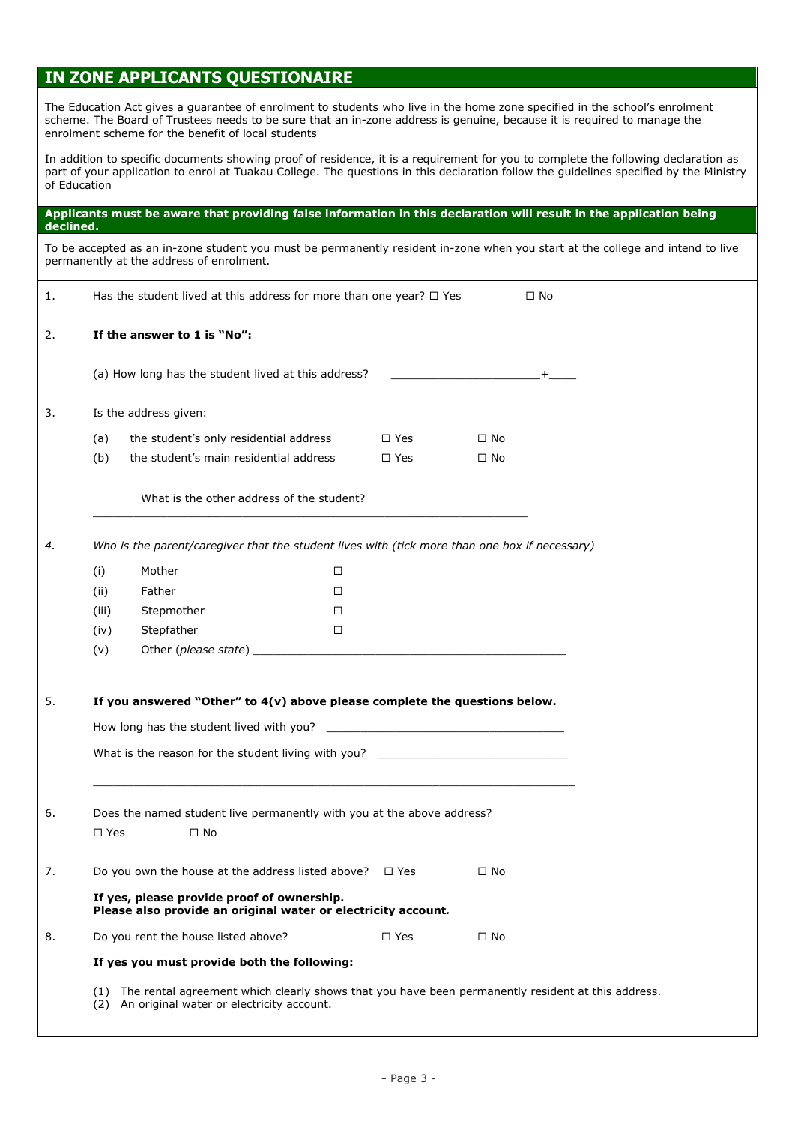#### **IN ZONE APPLICANTS QUESTIONAIRE**

The Education Act gives a guarantee of enrolment to students who live in the home zone specified in the school's enrolment scheme. The Board of Trustees needs to be sure that an in-zone address is genuine, because it is required to manage the enrolment scheme for the benefit of local students

**Applicants must be aware that providing false information in this declaration will result in the application being** 

In addition to specific documents showing proof of residence, it is a requirement for you to complete the following declaration as part of your application to enrol at Tuakau College. The questions in this declaration follow the guidelines specified by the Ministry of Education

## **declined.** To be accepted as an in-zone student you must be permanently resident in-zone when you start at the college and intend to live permanently at the address of enrolment. 1. Has the student lived at this address for more than one year?  $\Box$  Yes  $\Box$  No 2. **If the answer to 1 is "No":** (a) How long has the student lived at this address?  $\qquad +$ 3. Is the address given: (a) the student's only residential address  $\Box$  Yes  $\Box$  No (b) the student's main residential address  $\Box$  Yes  $\Box$  No What is the other address of the student?  $\_$  ,  $\_$  ,  $\_$  ,  $\_$  ,  $\_$  ,  $\_$  ,  $\_$  ,  $\_$  ,  $\_$  ,  $\_$  ,  $\_$  ,  $\_$  ,  $\_$  ,  $\_$  ,  $\_$  ,  $\_$  ,  $\_$  ,  $\_$  ,  $\_$  ,  $\_$  ,  $\_$  ,  $\_$  ,  $\_$  ,  $\_$  ,  $\_$  ,  $\_$  ,  $\_$  ,  $\_$  ,  $\_$  ,  $\_$  ,  $\_$  ,  $\_$  ,  $\_$  ,  $\_$  ,  $\_$  ,  $\_$  ,  $\_$  , *4. Who is the parent/caregiver that the student lives with (tick more than one box if necessary)* (i) Mother (ii) Father (iii) Stepmother (iv) Stepfather (v) Other (*please state*) \_\_\_\_\_\_\_\_\_\_\_\_\_\_\_\_\_\_\_\_\_\_\_\_\_\_\_\_\_\_\_\_\_\_\_\_\_\_\_\_\_\_\_\_\_\_ 5. **If you answered "Other" to 4(v) above please complete the questions below.** How long has the student lived with you? What is the reason for the student living with you?  $\Box$ 6. Does the named student live permanently with you at the above address?  $\square$  Yes  $\square$  No 7. Do you own the house at the address listed above?  $\Box$  Yes  $\Box$  No **If yes, please provide proof of ownership. Please also provide an original water or electricity account***.* 8. Do you rent the house listed above?  $\square$  Yes  $\square$  No **If yes you must provide both the following:** (1) The rental agreement which clearly shows that you have been permanently resident at this address. (2) An original water or electricity account.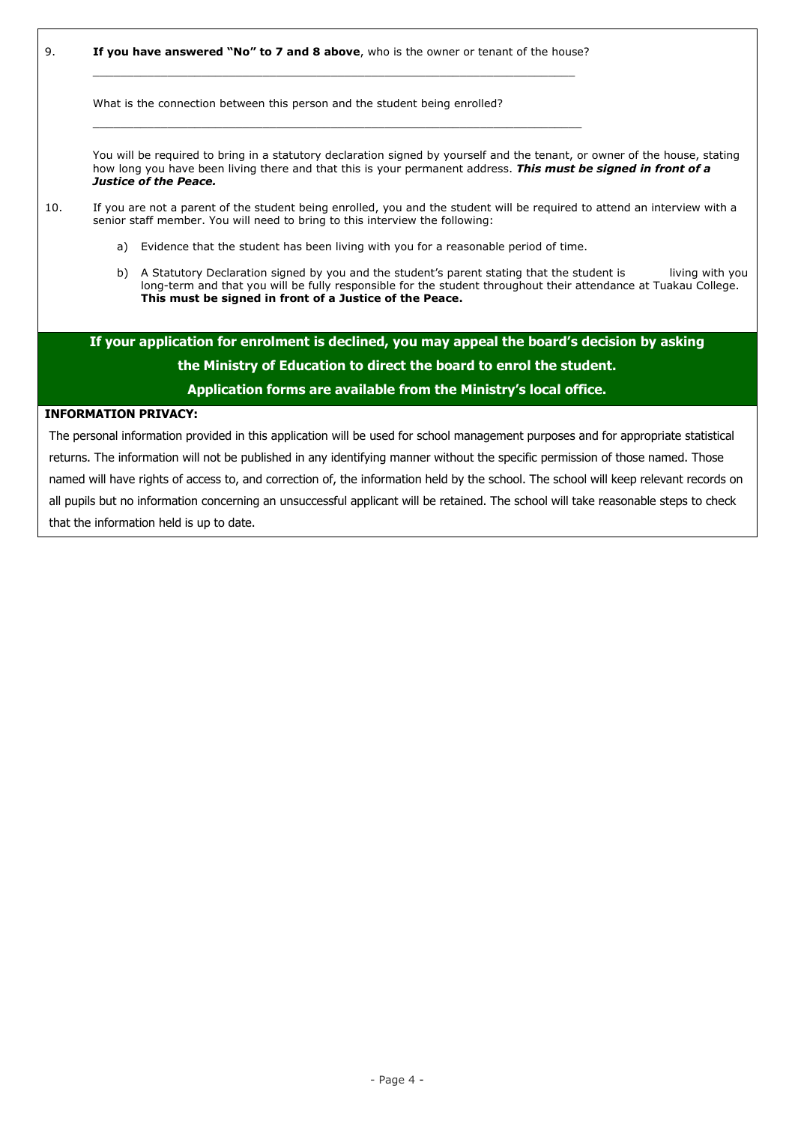9. **If you have answered "No" to 7 and 8 above**, who is the owner or tenant of the house?

\_\_\_\_\_\_\_\_\_\_\_\_\_\_\_\_\_\_\_\_\_\_\_\_\_\_\_\_\_\_\_\_\_\_\_\_\_\_\_\_\_\_\_\_\_\_\_\_\_\_\_\_\_\_\_\_\_\_\_\_\_\_\_\_\_\_\_\_\_\_\_

 $\Box$  . The contribution of the contribution of the contribution of the contribution of the contribution of the contribution of the contribution of the contribution of the contribution of the contribution of the contributi

What is the connection between this person and the student being enrolled?

You will be required to bring in a statutory declaration signed by yourself and the tenant, or owner of the house, stating how long you have been living there and that this is your permanent address. *This must be signed in front of a Justice of the Peace.*

#### 10. If you are not a parent of the student being enrolled, you and the student will be required to attend an interview with a senior staff member. You will need to bring to this interview the following:

- a) Evidence that the student has been living with you for a reasonable period of time.
- b) A Statutory Declaration signed by you and the student's parent stating that the student is living with you long-term and that you will be fully responsible for the student throughout their attendance at Tuakau College. **This must be signed in front of a Justice of the Peace.**

**If your application for enrolment is declined, you may appeal the board's decision by asking the Ministry of Education to direct the board to enrol the student. Application forms are available from the Ministry's local office.**

#### **INFORMATION PRIVACY:**

The personal information provided in this application will be used for school management purposes and for appropriate statistical returns. The information will not be published in any identifying manner without the specific permission of those named. Those named will have rights of access to, and correction of, the information held by the school. The school will keep relevant records on all pupils but no information concerning an unsuccessful applicant will be retained. The school will take reasonable steps to check that the information held is up to date.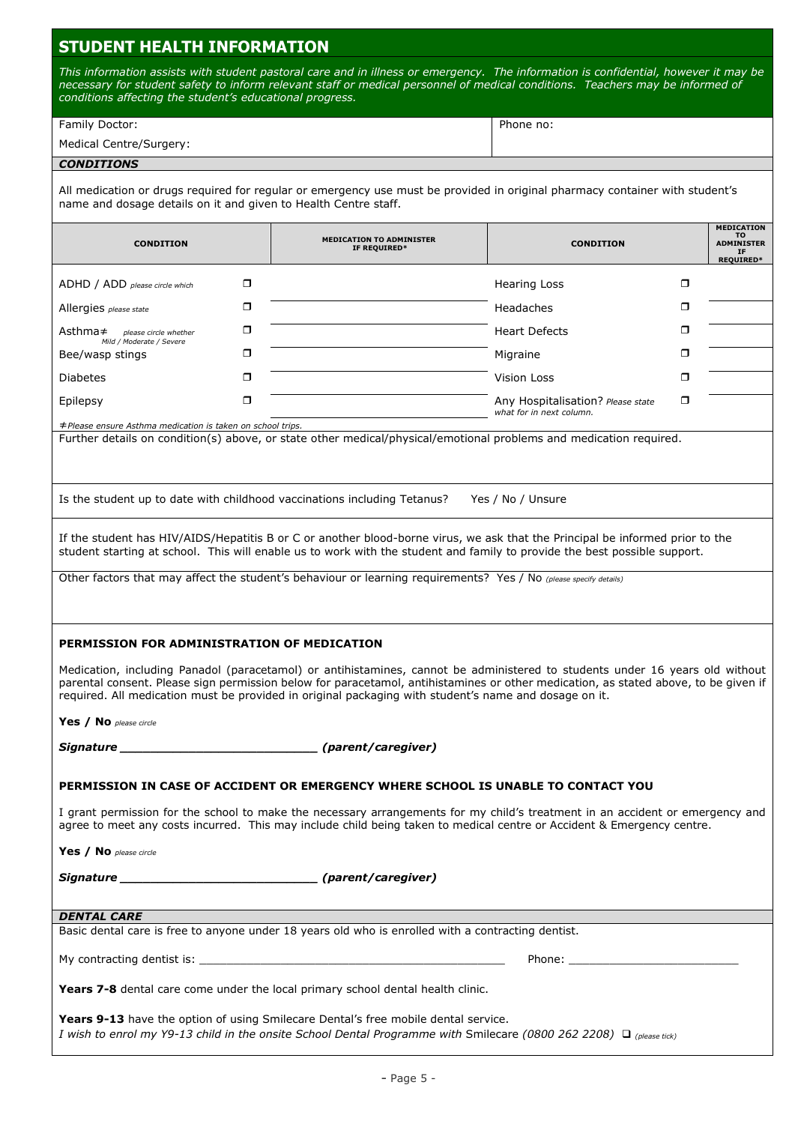### **STUDENT HEALTH INFORMATION**

*This information assists with student pastoral care and in illness or emergency. The information is confidential, however it may be necessary for student safety to inform relevant staff or medical personnel of medical conditions. Teachers may be informed of conditions affecting the student's educational progress.*

| Medical Centre/Surgery: |           |
|-------------------------|-----------|
| Family Doctor:          | Phone no: |

#### *CONDITIONS*

All medication or drugs required for regular or emergency use must be provided in original pharmacy container with student's name and dosage details on it and given to Health Centre staff.

| <b>CONDITION</b>                                                                                                                                                                                                                                                                                                                                                                                                                                             |   | <b>MEDICATION TO ADMINISTER</b><br>IF REQUIRED*                                                                                                                                                                                                                                                                                              | <b>CONDITION</b>                                                                                                                                                                                                               |   | <b>MEDICATION</b><br>то<br><b>ADMINISTER</b><br>IF<br><b>REQUIRED*</b> |
|--------------------------------------------------------------------------------------------------------------------------------------------------------------------------------------------------------------------------------------------------------------------------------------------------------------------------------------------------------------------------------------------------------------------------------------------------------------|---|----------------------------------------------------------------------------------------------------------------------------------------------------------------------------------------------------------------------------------------------------------------------------------------------------------------------------------------------|--------------------------------------------------------------------------------------------------------------------------------------------------------------------------------------------------------------------------------|---|------------------------------------------------------------------------|
| ADHD / ADD please circle which                                                                                                                                                                                                                                                                                                                                                                                                                               | ◻ |                                                                                                                                                                                                                                                                                                                                              | <b>Hearing Loss</b>                                                                                                                                                                                                            | ◘ |                                                                        |
| Allergies please state                                                                                                                                                                                                                                                                                                                                                                                                                                       | σ |                                                                                                                                                                                                                                                                                                                                              | Headaches                                                                                                                                                                                                                      | σ |                                                                        |
| $\mathsf{Asthma} \neq \mathsf{please\, circle\, whether}$<br>Mild / Moderate / Severe                                                                                                                                                                                                                                                                                                                                                                        | σ |                                                                                                                                                                                                                                                                                                                                              | <b>Heart Defects</b>                                                                                                                                                                                                           | 0 |                                                                        |
| Bee/wasp stings                                                                                                                                                                                                                                                                                                                                                                                                                                              | σ |                                                                                                                                                                                                                                                                                                                                              | Migraine                                                                                                                                                                                                                       | σ |                                                                        |
| <b>Diabetes</b>                                                                                                                                                                                                                                                                                                                                                                                                                                              | σ |                                                                                                                                                                                                                                                                                                                                              | Vision Loss                                                                                                                                                                                                                    | ο |                                                                        |
| Epilepsy                                                                                                                                                                                                                                                                                                                                                                                                                                                     | σ |                                                                                                                                                                                                                                                                                                                                              | Any Hospitalisation? Please state<br>what for in next column.                                                                                                                                                                  | σ |                                                                        |
| ≠Please ensure Asthma medication is taken on school trips.                                                                                                                                                                                                                                                                                                                                                                                                   |   | Further details on condition(s) above, or state other medical/physical/emotional problems and medication required.                                                                                                                                                                                                                           |                                                                                                                                                                                                                                |   |                                                                        |
|                                                                                                                                                                                                                                                                                                                                                                                                                                                              |   | Is the student up to date with childhood vaccinations including Tetanus?                                                                                                                                                                                                                                                                     | Yes / No / Unsure                                                                                                                                                                                                              |   |                                                                        |
|                                                                                                                                                                                                                                                                                                                                                                                                                                                              |   | If the student has HIV/AIDS/Hepatitis B or C or another blood-borne virus, we ask that the Principal be informed prior to the<br>student starting at school. This will enable us to work with the student and family to provide the best possible support.                                                                                   |                                                                                                                                                                                                                                |   |                                                                        |
|                                                                                                                                                                                                                                                                                                                                                                                                                                                              |   | Other factors that may affect the student's behaviour or learning requirements? Yes / No (please specify details)                                                                                                                                                                                                                            |                                                                                                                                                                                                                                |   |                                                                        |
| PERMISSION FOR ADMINISTRATION OF MEDICATION<br>Medication, including Panadol (paracetamol) or antihistamines, cannot be administered to students under 16 years old without<br>parental consent. Please sign permission below for paracetamol, antihistamines or other medication, as stated above, to be given if<br>required. All medication must be provided in original packaging with student's name and dosage on it.<br><b>Yes</b> / No please circle |   |                                                                                                                                                                                                                                                                                                                                              |                                                                                                                                                                                                                                |   |                                                                        |
| Signature ______                                                                                                                                                                                                                                                                                                                                                                                                                                             |   | (parent/caregiver)                                                                                                                                                                                                                                                                                                                           |                                                                                                                                                                                                                                |   |                                                                        |
|                                                                                                                                                                                                                                                                                                                                                                                                                                                              |   | PERMISSION IN CASE OF ACCIDENT OR EMERGENCY WHERE SCHOOL IS UNABLE TO CONTACT YOU<br>I grant permission for the school to make the necessary arrangements for my child's treatment in an accident or emergency and<br>agree to meet any costs incurred. This may include child being taken to medical centre or Accident & Emergency centre. |                                                                                                                                                                                                                                |   |                                                                        |
| Yes / No please circle                                                                                                                                                                                                                                                                                                                                                                                                                                       |   |                                                                                                                                                                                                                                                                                                                                              |                                                                                                                                                                                                                                |   |                                                                        |
|                                                                                                                                                                                                                                                                                                                                                                                                                                                              |   |                                                                                                                                                                                                                                                                                                                                              |                                                                                                                                                                                                                                |   |                                                                        |
| <b>DENTAL CARE</b>                                                                                                                                                                                                                                                                                                                                                                                                                                           |   |                                                                                                                                                                                                                                                                                                                                              |                                                                                                                                                                                                                                |   |                                                                        |
|                                                                                                                                                                                                                                                                                                                                                                                                                                                              |   | Basic dental care is free to anyone under 18 years old who is enrolled with a contracting dentist.                                                                                                                                                                                                                                           |                                                                                                                                                                                                                                |   |                                                                        |
|                                                                                                                                                                                                                                                                                                                                                                                                                                                              |   |                                                                                                                                                                                                                                                                                                                                              | Phone: the contract of the contract of the contract of the contract of the contract of the contract of the contract of the contract of the contract of the contract of the contract of the contract of the contract of the con |   |                                                                        |
| Years 7-8 dental care come under the local primary school dental health clinic.                                                                                                                                                                                                                                                                                                                                                                              |   |                                                                                                                                                                                                                                                                                                                                              |                                                                                                                                                                                                                                |   |                                                                        |
|                                                                                                                                                                                                                                                                                                                                                                                                                                                              |   | Years 9-13 have the option of using Smilecare Dental's free mobile dental service.<br>I wish to enrol my Y9-13 child in the onsite School Dental Programme with Smilecare (0800 262 2208) Q (please tick)                                                                                                                                    |                                                                                                                                                                                                                                |   |                                                                        |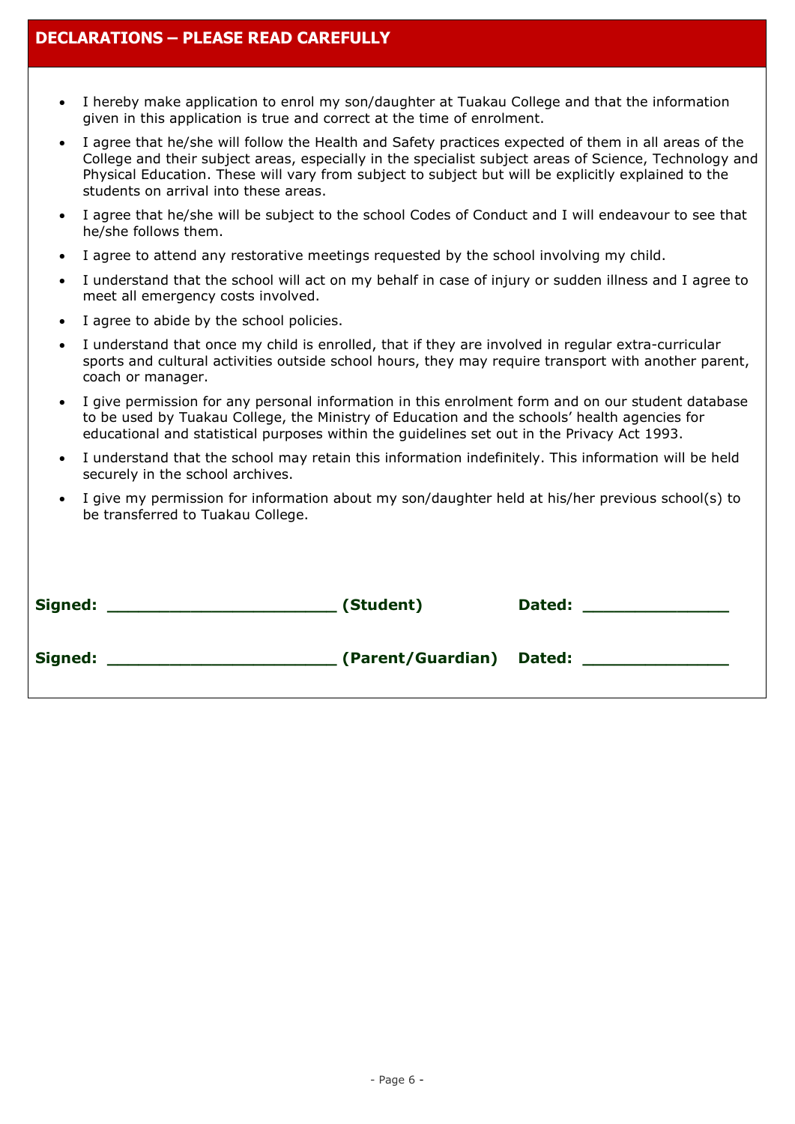- I hereby make application to enrol my son/daughter at Tuakau College and that the information given in this application is true and correct at the time of enrolment.
- I agree that he/she will follow the Health and Safety practices expected of them in all areas of the College and their subject areas, especially in the specialist subject areas of Science, Technology and Physical Education. These will vary from subject to subject but will be explicitly explained to the students on arrival into these areas.
- I agree that he/she will be subject to the school Codes of Conduct and I will endeavour to see that he/she follows them.
- I agree to attend any restorative meetings requested by the school involving my child.
- I understand that the school will act on my behalf in case of injury or sudden illness and I agree to meet all emergency costs involved.
- I agree to abide by the school policies.
- I understand that once my child is enrolled, that if they are involved in regular extra-curricular sports and cultural activities outside school hours, they may require transport with another parent, coach or manager.
- I give permission for any personal information in this enrolment form and on our student database to be used by Tuakau College, the Ministry of Education and the schools' health agencies for educational and statistical purposes within the guidelines set out in the Privacy Act 1993.
- I understand that the school may retain this information indefinitely. This information will be held securely in the school archives.
- I give my permission for information about my son/daughter held at his/her previous school(s) to be transferred to Tuakau College.

| <b>Signed:</b> | (Student)                | Dated: |
|----------------|--------------------------|--------|
| Signed:        | (Parent/Guardian) Dated: |        |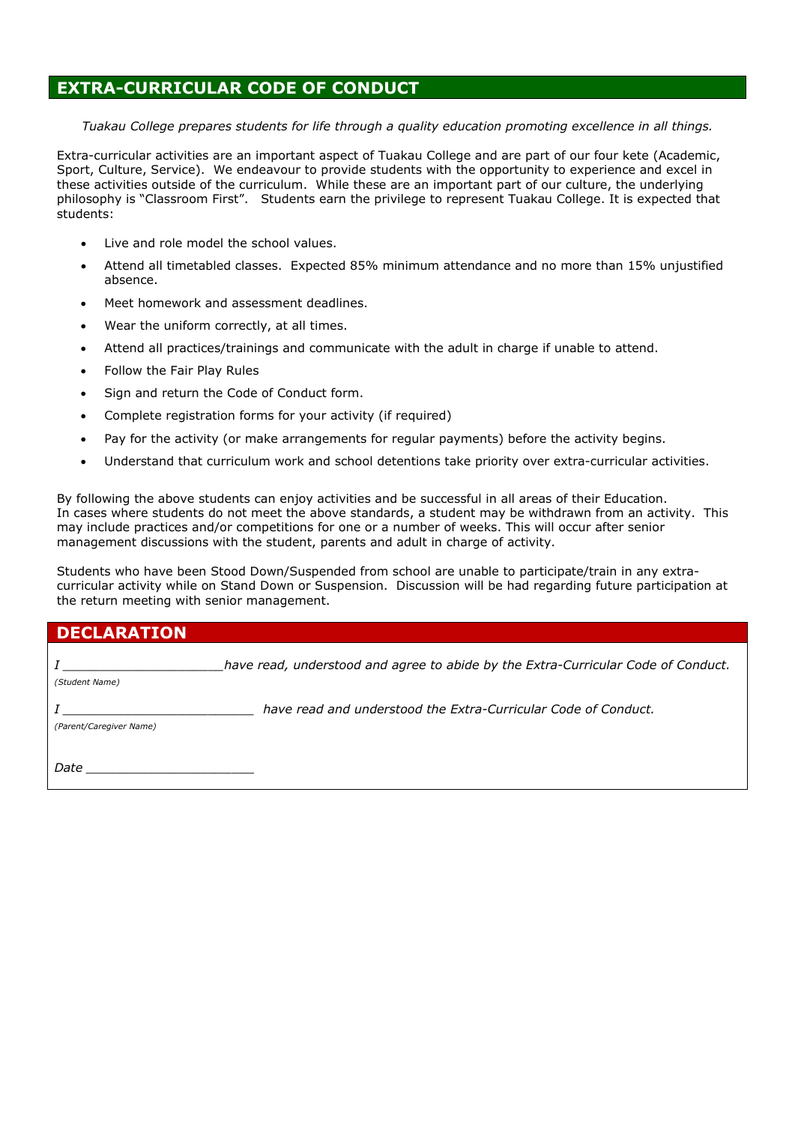#### **EXTRA-CURRICULAR CODE OF CONDUCT**

*Tuakau College prepares students for life through a quality education promoting excellence in all things.*

Extra-curricular activities are an important aspect of Tuakau College and are part of our four kete (Academic, Sport, Culture, Service). We endeavour to provide students with the opportunity to experience and excel in these activities outside of the curriculum. While these are an important part of our culture, the underlying philosophy is "Classroom First". Students earn the privilege to represent Tuakau College. It is expected that students:

- Live and role model the school values.
- Attend all timetabled classes. Expected 85% minimum attendance and no more than 15% unjustified absence.
- Meet homework and assessment deadlines.
- Wear the uniform correctly, at all times.
- Attend all practices/trainings and communicate with the adult in charge if unable to attend.
- Follow the Fair Play Rules
- Sign and return the Code of Conduct form.
- Complete registration forms for your activity (if required)
- Pay for the activity (or make arrangements for regular payments) before the activity begins.
- Understand that curriculum work and school detentions take priority over extra-curricular activities.

By following the above students can enjoy activities and be successful in all areas of their Education. In cases where students do not meet the above standards, a student may be withdrawn from an activity. This may include practices and/or competitions for one or a number of weeks. This will occur after senior management discussions with the student, parents and adult in charge of activity.

Students who have been Stood Down/Suspended from school are unable to participate/train in any extracurricular activity while on Stand Down or Suspension. Discussion will be had regarding future participation at the return meeting with senior management.

| <b>DECLARATION</b>      |                                                                                   |
|-------------------------|-----------------------------------------------------------------------------------|
| (Student Name)          | have read, understood and agree to abide by the Extra-Curricular Code of Conduct. |
| (Parent/Caregiver Name) | have read and understood the Extra-Curricular Code of Conduct.                    |
| Date                    |                                                                                   |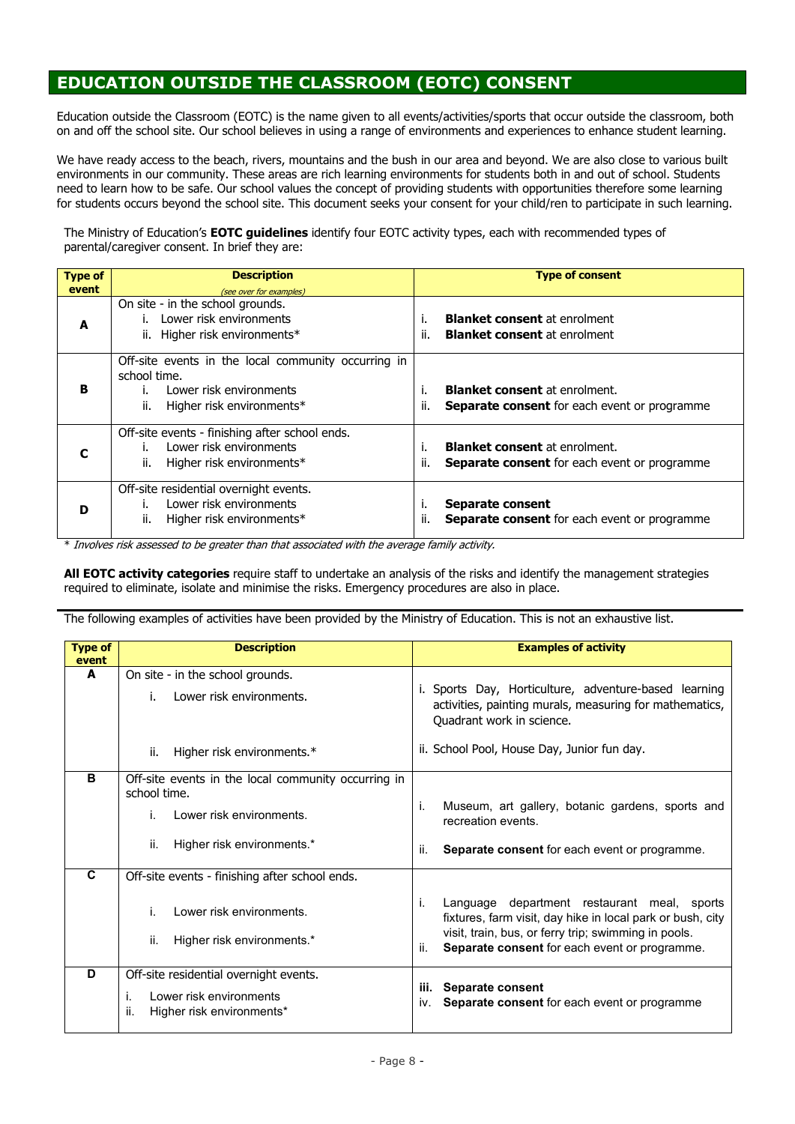## **EDUCATION OUTSIDE THE CLASSROOM (EOTC) CONSENT**

Education outside the Classroom (EOTC) is the name given to all events/activities/sports that occur outside the classroom, both on and off the school site. Our school believes in using a range of environments and experiences to enhance student learning.

We have ready access to the beach, rivers, mountains and the bush in our area and beyond. We are also close to various built environments in our community. These areas are rich learning environments for students both in and out of school. Students need to learn how to be safe. Our school values the concept of providing students with opportunities therefore some learning for students occurs beyond the school site. This document seeks your consent for your child/ren to participate in such learning.

The Ministry of Education's **EOTC guidelines** identify four EOTC activity types, each with recommended types of parental/caregiver consent. In brief they are:

| <b>Type of</b> | <b>Description</b>                                                                                                                 | <b>Type of consent</b>                                                                                   |
|----------------|------------------------------------------------------------------------------------------------------------------------------------|----------------------------------------------------------------------------------------------------------|
| event          | (see over for examples)                                                                                                            |                                                                                                          |
| A              | On site - in the school grounds.<br>Lower risk environments<br>ii. Higher risk environments*                                       | <b>Blanket consent</b> at enrolment<br>Τ.<br>ii.<br><b>Blanket consent</b> at enrolment                  |
| в              | Off-site events in the local community occurring in<br>school time.<br>Lower risk environments<br>ii.<br>Higher risk environments* | <b>Blanket consent</b> at enrolment.<br>ii.<br><b>Separate consent</b> for each event or programme       |
|                | Off-site events - finishing after school ends.<br>Lower risk environments<br>ii.<br>Higher risk environments*                      | <b>Blanket consent</b> at enrolment.<br>i.<br>ii.<br><b>Separate consent</b> for each event or programme |
| D              | Off-site residential overnight events.<br>Lower risk environments<br>Higher risk environments*<br>ii.                              | Separate consent<br>т.<br>ii.<br><b>Separate consent</b> for each event or programme                     |

\* Involves risk assessed to be greater than that associated with the average family activity.

**All EOTC activity categories** require staff to undertake an analysis of the risks and identify the management strategies required to eliminate, isolate and minimise the risks. Emergency procedures are also in place.

The following examples of activities have been provided by the Ministry of Education. This is not an exhaustive list.

| <b>Description</b>                                                  | <b>Examples of activity</b>                                                                                                                   |
|---------------------------------------------------------------------|-----------------------------------------------------------------------------------------------------------------------------------------------|
|                                                                     |                                                                                                                                               |
|                                                                     |                                                                                                                                               |
| Lower risk environments.<br>i.                                      | i. Sports Day, Horticulture, adventure-based learning<br>activities, painting murals, measuring for mathematics,<br>Quadrant work in science. |
| ii.<br>Higher risk environments.*                                   | ii. School Pool, House Day, Junior fun day.                                                                                                   |
| Off-site events in the local community occurring in<br>school time. |                                                                                                                                               |
| Lower risk environments.<br>İ.                                      | Museum, art gallery, botanic gardens, sports and<br>j.<br>recreation events.                                                                  |
| Higher risk environments.*<br>ii.                                   | ii.<br><b>Separate consent for each event or programme.</b>                                                                                   |
| Off-site events - finishing after school ends.                      |                                                                                                                                               |
| Lower risk environments.<br>İ.                                      | j.<br>Language department restaurant meal, sports<br>fixtures, farm visit, day hike in local park or bush, city                               |
| Higher risk environments.*<br>ii.                                   | visit, train, bus, or ferry trip; swimming in pools.<br>Separate consent for each event or programme.<br>ii.                                  |
| Off-site residential overnight events.                              |                                                                                                                                               |
| i.<br>Lower risk environments<br>ii.<br>Higher risk environments*   | Separate consent<br>iii.<br>Separate consent for each event or programme<br>IV.                                                               |
|                                                                     | On site - in the school grounds.                                                                                                              |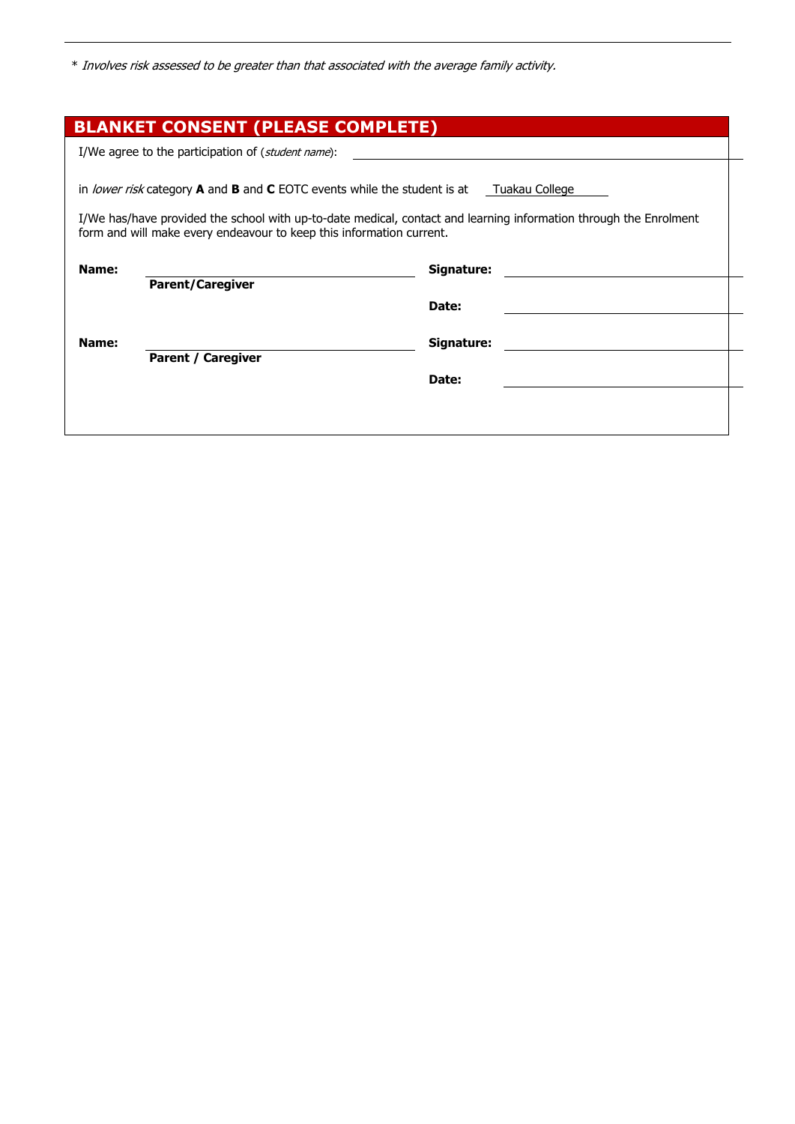\* Involves risk assessed to be greater than that associated with the average family activity.

|       | <b>BLANKET CONSENT (PLEASE COMPLETE)</b>                                                                                                                                                                                                                                                |
|-------|-----------------------------------------------------------------------------------------------------------------------------------------------------------------------------------------------------------------------------------------------------------------------------------------|
|       | I/We agree to the participation of ( <i>student name</i> ):                                                                                                                                                                                                                             |
|       | in lower risk category A and B and C EOTC events while the student is at<br>Tuakau College<br>I/We has/have provided the school with up-to-date medical, contact and learning information through the Enrolment<br>form and will make every endeavour to keep this information current. |
| Name: | Signature:                                                                                                                                                                                                                                                                              |
|       | <b>Parent/Caregiver</b>                                                                                                                                                                                                                                                                 |
|       | Date:                                                                                                                                                                                                                                                                                   |
| Name: | Signature:<br><b>Parent / Caregiver</b>                                                                                                                                                                                                                                                 |
|       | Date:                                                                                                                                                                                                                                                                                   |
|       |                                                                                                                                                                                                                                                                                         |
|       |                                                                                                                                                                                                                                                                                         |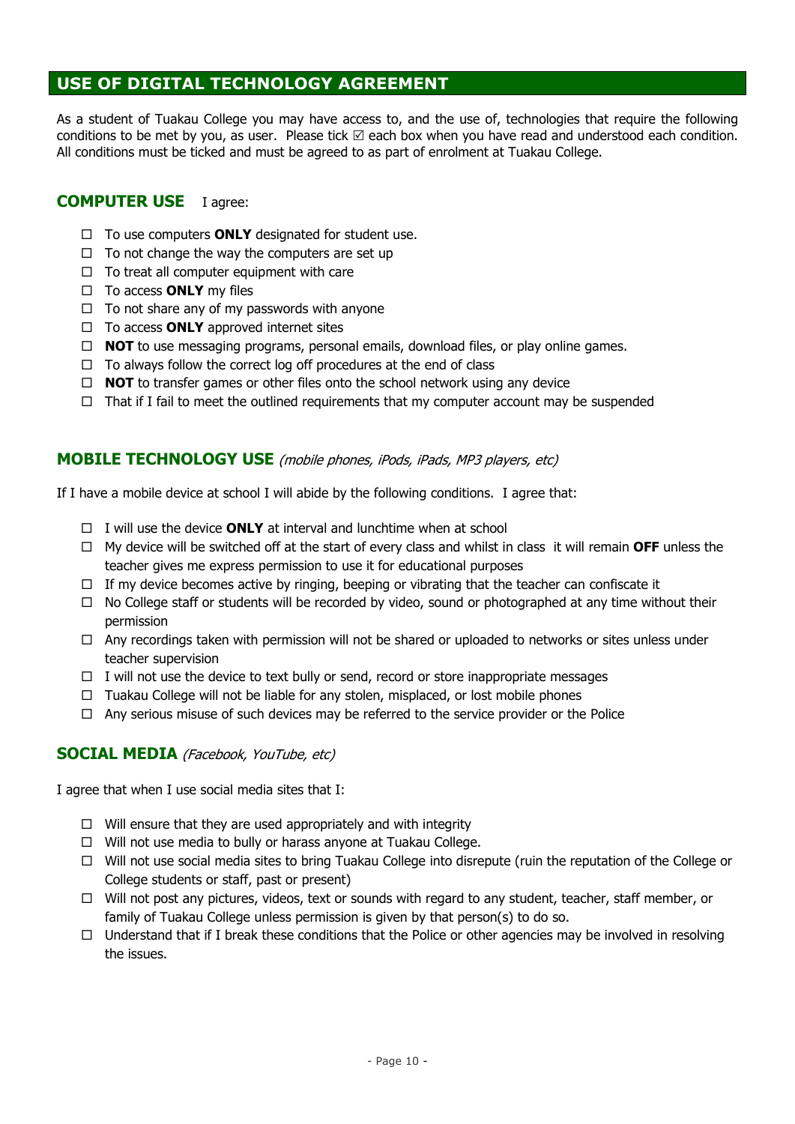#### **USE OF DIGITAL TECHNOLOGY AGREEMENT**

As a student of Tuakau College you may have access to, and the use of, technologies that require the following conditions to be met by you, as user. Please tick  $\boxtimes$  each box when you have read and understood each condition. All conditions must be ticked and must be agreed to as part of enrolment at Tuakau College.

#### **COMPUTER USE** I agree:

- $\Box$  To use computers **ONLY** designated for student use.
- $\Box$  To not change the way the computers are set up
- $\Box$  To treat all computer equipment with care
- □ To access **ONLY** my files
- $\Box$  To not share any of my passwords with anyone
- □ To access **ONLY** approved internet sites
- $\Box$  **NOT** to use messaging programs, personal emails, download files, or play online games.
- $\Box$  To always follow the correct log off procedures at the end of class
- **NOT** to transfer games or other files onto the school network using any device
- $\Box$  That if I fail to meet the outlined requirements that my computer account may be suspended

#### **MOBILE TECHNOLOGY USE** (mobile phones, iPods, iPads, MP3 players, etc)

If I have a mobile device at school I will abide by the following conditions. I agree that:

- $\Box$  I will use the device **ONLY** at interval and lunchtime when at school
- My device will be switched off at the start of every class and whilst in class it will remain **OFF** unless the teacher gives me express permission to use it for educational purposes
- $\Box$  If my device becomes active by ringing, beeping or vibrating that the teacher can confiscate it
- $\Box$  No College staff or students will be recorded by video, sound or photographed at any time without their permission
- $\Box$  Any recordings taken with permission will not be shared or uploaded to networks or sites unless under teacher supervision
- $\Box$  I will not use the device to text bully or send, record or store inappropriate messages
- $\Box$  Tuakau College will not be liable for any stolen, misplaced, or lost mobile phones
- $\Box$  Any serious misuse of such devices may be referred to the service provider or the Police

#### **SOCIAL MEDIA** (Facebook, YouTube, etc)

I agree that when I use social media sites that I:

- $\Box$  Will ensure that they are used appropriately and with integrity
- $\Box$  Will not use media to bully or harass anyone at Tuakau College.
- $\Box$  Will not use social media sites to bring Tuakau College into disrepute (ruin the reputation of the College or College students or staff, past or present)
- $\Box$  Will not post any pictures, videos, text or sounds with regard to any student, teacher, staff member, or family of Tuakau College unless permission is given by that person(s) to do so.
- $\Box$  Understand that if I break these conditions that the Police or other agencies may be involved in resolving the issues.